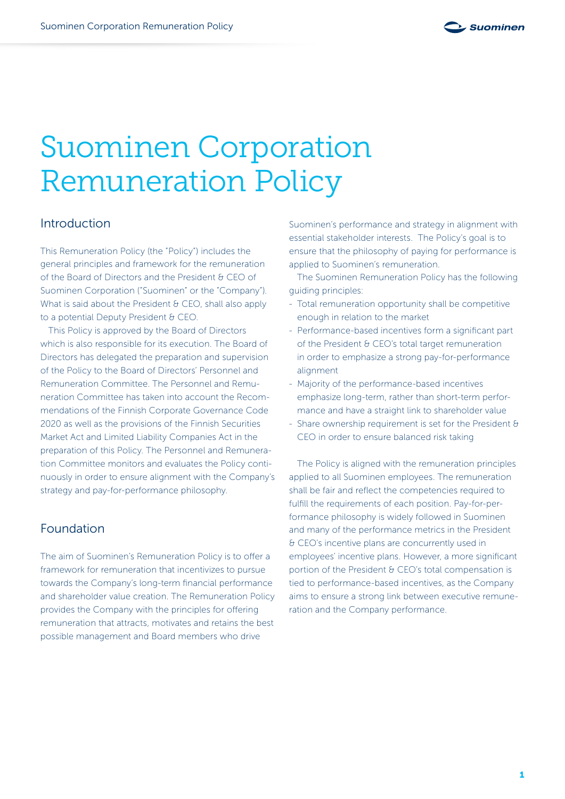

# Suominen Corporation Remuneration Policy

# Introduction

This Remuneration Policy (the "Policy") includes the general principles and framework for the remuneration of the Board of Directors and the President & CEO of Suominen Corporation ("Suominen" or the "Company"). What is said about the President  $\theta$  CEO, shall also apply to a potential Deputy President & CEO.

This Policy is approved by the Board of Directors which is also responsible for its execution. The Board of Directors has delegated the preparation and supervision of the Policy to the Board of Directors' Personnel and Remuneration Committee. The Personnel and Remuneration Committee has taken into account the Recommendations of the Finnish Corporate Governance Code 2020 as well as the provisions of the Finnish Securities Market Act and Limited Liability Companies Act in the preparation of this Policy. The Personnel and Remuneration Committee monitors and evaluates the Policy continuously in order to ensure alignment with the Company's strategy and pay-for-performance philosophy.

#### Foundation

The aim of Suominen's Remuneration Policy is to offer a framework for remuneration that incentivizes to pursue towards the Company's long-term financial performance and shareholder value creation. The Remuneration Policy provides the Company with the principles for offering remuneration that attracts, motivates and retains the best possible management and Board members who drive

Suominen's performance and strategy in alignment with essential stakeholder interests. The Policy's goal is to ensure that the philosophy of paying for performance is applied to Suominen's remuneration.

The Suominen Remuneration Policy has the following guiding principles:

- Total remuneration opportunity shall be competitive enough in relation to the market
- Performance-based incentives form a significant part of the President & CEO's total target remuneration in order to emphasize a strong pay-for-performance alignment
- Majority of the performance-based incentives emphasize long-term, rather than short-term performance and have a straight link to shareholder value
- Share ownership requirement is set for the President & CEO in order to ensure balanced risk taking

The Policy is aligned with the remuneration principles applied to all Suominen employees. The remuneration shall be fair and reflect the competencies required to fulfill the requirements of each position. Pay-for-performance philosophy is widely followed in Suominen and many of the performance metrics in the President & CEO's incentive plans are concurrently used in employees' incentive plans. However, a more significant portion of the President & CEO's total compensation is tied to performance-based incentives, as the Company aims to ensure a strong link between executive remuneration and the Company performance.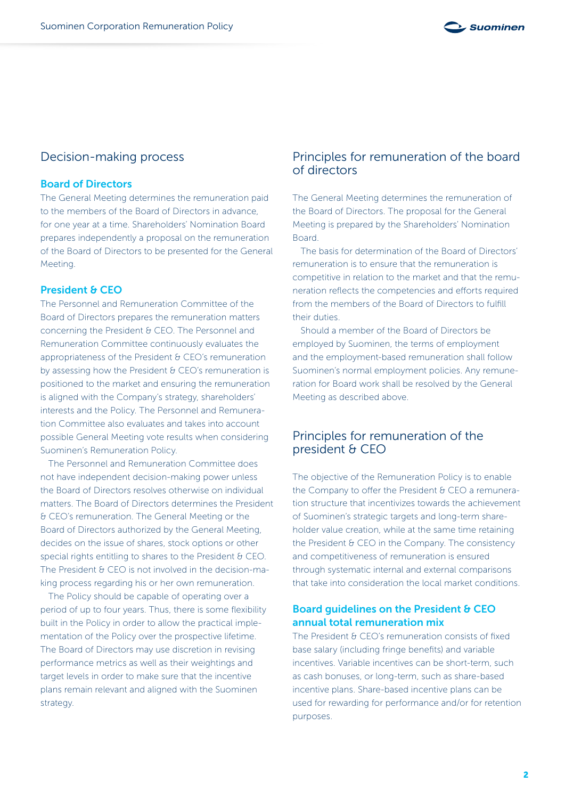

# Decision-making process

#### Board of Directors

The General Meeting determines the remuneration paid to the members of the Board of Directors in advance, for one year at a time. Shareholders' Nomination Board prepares independently a proposal on the remuneration of the Board of Directors to be presented for the General Meeting.

#### President & CEO

The Personnel and Remuneration Committee of the Board of Directors prepares the remuneration matters concerning the President & CEO. The Personnel and Remuneration Committee continuously evaluates the appropriateness of the President & CEO's remuneration by assessing how the President & CEO's remuneration is positioned to the market and ensuring the remuneration is aligned with the Company's strategy, shareholders' interests and the Policy. The Personnel and Remuneration Committee also evaluates and takes into account possible General Meeting vote results when considering Suominen's Remuneration Policy.

The Personnel and Remuneration Committee does not have independent decision-making power unless the Board of Directors resolves otherwise on individual matters. The Board of Directors determines the President & CEO's remuneration. The General Meeting or the Board of Directors authorized by the General Meeting, decides on the issue of shares, stock options or other special rights entitling to shares to the President & CEO. The President & CEO is not involved in the decision-making process regarding his or her own remuneration.

The Policy should be capable of operating over a period of up to four years. Thus, there is some flexibility built in the Policy in order to allow the practical implementation of the Policy over the prospective lifetime. The Board of Directors may use discretion in revising performance metrics as well as their weightings and target levels in order to make sure that the incentive plans remain relevant and aligned with the Suominen strategy.

# Principles for remuneration of the board of directors

The General Meeting determines the remuneration of the Board of Directors. The proposal for the General Meeting is prepared by the Shareholders' Nomination Board.

The basis for determination of the Board of Directors' remuneration is to ensure that the remuneration is competitive in relation to the market and that the remuneration reflects the competencies and efforts required from the members of the Board of Directors to fulfill their duties.

Should a member of the Board of Directors be employed by Suominen, the terms of employment and the employment-based remuneration shall follow Suominen's normal employment policies. Any remuneration for Board work shall be resolved by the General Meeting as described above.

# Principles for remuneration of the president & CEO

The objective of the Remuneration Policy is to enable the Company to offer the President & CEO a remuneration structure that incentivizes towards the achievement of Suominen's strategic targets and long-term shareholder value creation, while at the same time retaining the President & CEO in the Company. The consistency and competitiveness of remuneration is ensured through systematic internal and external comparisons that take into consideration the local market conditions.

#### Board guidelines on the President & CEO annual total remuneration mix

The President & CEO's remuneration consists of fixed base salary (including fringe benefits) and variable incentives. Variable incentives can be short-term, such as cash bonuses, or long-term, such as share-based incentive plans. Share-based incentive plans can be used for rewarding for performance and/or for retention purposes.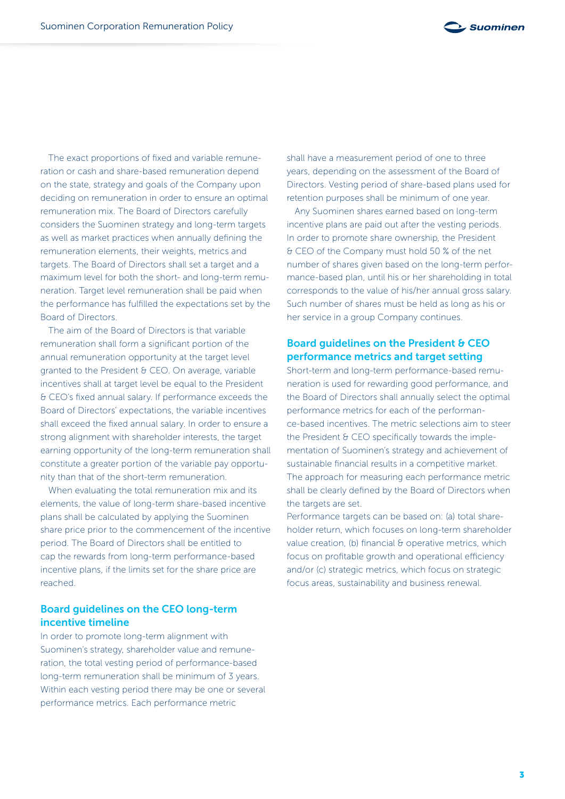

The exact proportions of fixed and variable remuneration or cash and share-based remuneration depend on the state, strategy and goals of the Company upon deciding on remuneration in order to ensure an optimal remuneration mix. The Board of Directors carefully considers the Suominen strategy and long-term targets as well as market practices when annually defining the remuneration elements, their weights, metrics and targets. The Board of Directors shall set a target and a maximum level for both the short- and long-term remuneration. Target level remuneration shall be paid when the performance has fulfilled the expectations set by the Board of Directors.

The aim of the Board of Directors is that variable remuneration shall form a significant portion of the annual remuneration opportunity at the target level granted to the President & CEO. On average, variable incentives shall at target level be equal to the President & CEO's fixed annual salary. If performance exceeds the Board of Directors' expectations, the variable incentives shall exceed the fixed annual salary. In order to ensure a strong alignment with shareholder interests, the target earning opportunity of the long-term remuneration shall constitute a greater portion of the variable pay opportunity than that of the short-term remuneration.

When evaluating the total remuneration mix and its elements, the value of long-term share-based incentive plans shall be calculated by applying the Suominen share price prior to the commencement of the incentive period. The Board of Directors shall be entitled to cap the rewards from long-term performance-based incentive plans, if the limits set for the share price are reached.

#### Board guidelines on the CEO long-term incentive timeline

In order to promote long-term alignment with Suominen's strategy, shareholder value and remuneration, the total vesting period of performance-based long-term remuneration shall be minimum of 3 years. Within each vesting period there may be one or several performance metrics. Each performance metric

shall have a measurement period of one to three years, depending on the assessment of the Board of Directors. Vesting period of share-based plans used for retention purposes shall be minimum of one year.

Any Suominen shares earned based on long-term incentive plans are paid out after the vesting periods. In order to promote share ownership, the President & CEO of the Company must hold 50 % of the net number of shares given based on the long-term performance-based plan, until his or her shareholding in total corresponds to the value of his/her annual gross salary. Such number of shares must be held as long as his or her service in a group Company continues.

#### Board guidelines on the President & CEO performance metrics and target setting

Short-term and long-term performance-based remuneration is used for rewarding good performance, and the Board of Directors shall annually select the optimal performance metrics for each of the performance-based incentives. The metric selections aim to steer the President & CEO specifically towards the implementation of Suominen's strategy and achievement of sustainable financial results in a competitive market. The approach for measuring each performance metric shall be clearly defined by the Board of Directors when the targets are set.

Performance targets can be based on: (a) total shareholder return, which focuses on long-term shareholder value creation, (b) financial & operative metrics, which focus on profitable growth and operational efficiency and/or (c) strategic metrics, which focus on strategic focus areas, sustainability and business renewal.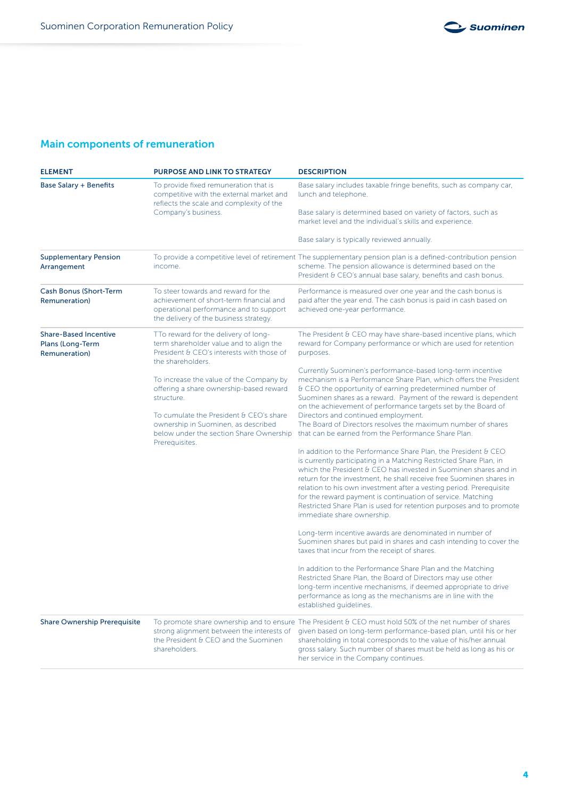

# Main components of remuneration

| <b>ELEMENT</b>                                                    | <b>PURPOSE AND LINK TO STRATEGY</b>                                                                                                                                | <b>DESCRIPTION</b>                                                                                                                                                                                                                                                                                                                                                                                                                                                                                                         |
|-------------------------------------------------------------------|--------------------------------------------------------------------------------------------------------------------------------------------------------------------|----------------------------------------------------------------------------------------------------------------------------------------------------------------------------------------------------------------------------------------------------------------------------------------------------------------------------------------------------------------------------------------------------------------------------------------------------------------------------------------------------------------------------|
| <b>Base Salary + Benefits</b>                                     | To provide fixed remuneration that is<br>competitive with the external market and<br>reflects the scale and complexity of the<br>Company's business.               | Base salary includes taxable fringe benefits, such as company car,<br>lunch and telephone.                                                                                                                                                                                                                                                                                                                                                                                                                                 |
|                                                                   |                                                                                                                                                                    | Base salary is determined based on variety of factors, such as<br>market level and the individual's skills and experience.                                                                                                                                                                                                                                                                                                                                                                                                 |
|                                                                   |                                                                                                                                                                    | Base salary is typically reviewed annually.                                                                                                                                                                                                                                                                                                                                                                                                                                                                                |
| <b>Supplementary Pension</b><br>Arrangement                       | income.                                                                                                                                                            | To provide a competitive level of retirement The supplementary pension plan is a defined-contribution pension<br>scheme. The pension allowance is determined based on the<br>President & CEO's annual base salary, benefits and cash bonus.                                                                                                                                                                                                                                                                                |
| <b>Cash Bonus (Short-Term</b><br>Remuneration)                    | To steer towards and reward for the<br>achievement of short-term financial and<br>operational performance and to support<br>the delivery of the business strategy. | Performance is measured over one year and the cash bonus is<br>paid after the year end. The cash bonus is paid in cash based on<br>achieved one-year performance.                                                                                                                                                                                                                                                                                                                                                          |
| <b>Share-Based Incentive</b><br>Plans (Long-Term<br>Remuneration) | TTo reward for the delivery of long-<br>term shareholder value and to align the<br>President & CEO's interests with those of<br>the shareholders.                  | The President $\theta$ CEO may have share-based incentive plans, which<br>reward for Company performance or which are used for retention<br>purposes.                                                                                                                                                                                                                                                                                                                                                                      |
|                                                                   | To increase the value of the Company by<br>offering a share ownership-based reward<br>structure.                                                                   | Currently Suominen's performance-based long-term incentive<br>mechanism is a Performance Share Plan, which offers the President<br>& CEO the opportunity of earning predetermined number of<br>Suominen shares as a reward. Payment of the reward is dependent<br>on the achievement of performance targets set by the Board of                                                                                                                                                                                            |
|                                                                   | To cumulate the President & CEO's share<br>ownership in Suominen, as described<br>below under the section Share Ownership<br>Prerequisites.                        | Directors and continued employment.<br>The Board of Directors resolves the maximum number of shares<br>that can be earned from the Performance Share Plan.                                                                                                                                                                                                                                                                                                                                                                 |
|                                                                   |                                                                                                                                                                    | In addition to the Performance Share Plan, the President & CEO<br>is currently participating in a Matching Restricted Share Plan, in<br>which the President & CEO has invested in Suominen shares and in<br>return for the investment, he shall receive free Suominen shares in<br>relation to his own investment after a vesting period. Prerequisite<br>for the reward payment is continuation of service. Matching<br>Restricted Share Plan is used for retention purposes and to promote<br>immediate share ownership. |
|                                                                   |                                                                                                                                                                    | Long-term incentive awards are denominated in number of<br>Suominen shares but paid in shares and cash intending to cover the<br>taxes that incur from the receipt of shares.                                                                                                                                                                                                                                                                                                                                              |
|                                                                   |                                                                                                                                                                    | In addition to the Performance Share Plan and the Matching<br>Restricted Share Plan, the Board of Directors may use other<br>long-term incentive mechanisms, if deemed appropriate to drive<br>performance as long as the mechanisms are in line with the<br>established quidelines.                                                                                                                                                                                                                                       |
| <b>Share Ownership Prerequisite</b>                               | strong alignment between the interests of<br>the President & CEO and the Suominen<br>shareholders.                                                                 | To promote share ownership and to ensure The President & CEO must hold 50% of the net number of shares<br>given based on long-term performance-based plan, until his or her<br>shareholding in total corresponds to the value of his/her annual<br>gross salary. Such number of shares must be held as long as his or<br>her service in the Company continues.                                                                                                                                                             |